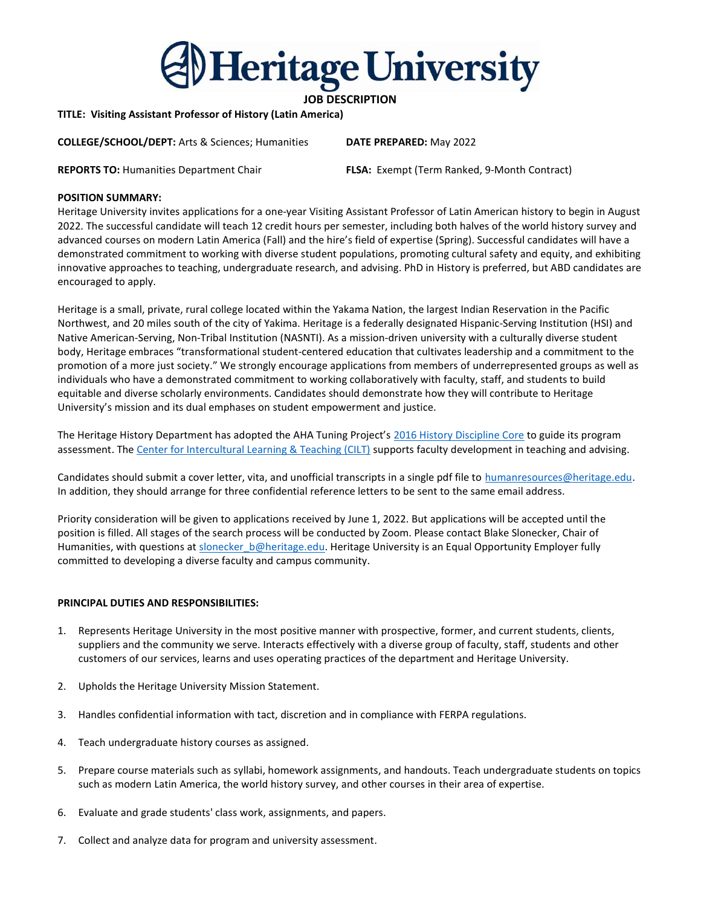

# JOB DESCRIPTION

TITLE: Visiting Assistant Professor of History (Latin America)

COLLEGE/SCHOOL/DEPT: Arts & Sciences; Humanities DATE PREPARED: May 2022

REPORTS TO: Humanities Department Chair FLSA: Exempt (Term Ranked, 9-Month Contract)

## POSITION SUMMARY:

Heritage University invites applications for a one-year Visiting Assistant Professor of Latin American history to begin in August 2022. The successful candidate will teach 12 credit hours per semester, including both halves of the world history survey and advanced courses on modern Latin America (Fall) and the hire's field of expertise (Spring). Successful candidates will have a demonstrated commitment to working with diverse student populations, promoting cultural safety and equity, and exhibiting innovative approaches to teaching, undergraduate research, and advising. PhD in History is preferred, but ABD candidates are encouraged to apply.

Heritage is a small, private, rural college located within the Yakama Nation, the largest Indian Reservation in the Pacific Northwest, and 20 miles south of the city of Yakima. Heritage is a federally designated Hispanic-Serving Institution (HSI) and Native American-Serving, Non-Tribal Institution (NASNTI). As a mission-driven university with a culturally diverse student body, Heritage embraces "transformational student-centered education that cultivates leadership and a commitment to the promotion of a more just society." We strongly encourage applications from members of underrepresented groups as well as individuals who have a demonstrated commitment to working collaboratively with faculty, staff, and students to build equitable and diverse scholarly environments. Candidates should demonstrate how they will contribute to Heritage University's mission and its dual emphases on student empowerment and justice.

The Heritage History Department has adopted the AHA Tuning Project's 2016 History Discipline Core to guide its program assessment. The Center for Intercultural Learning & Teaching (CILT) supports faculty development in teaching and advising.

Candidates should submit a cover letter, vita, and unofficial transcripts in a single pdf file to humanresources@heritage.edu. In addition, they should arrange for three confidential reference letters to be sent to the same email address.

Priority consideration will be given to applications received by June 1, 2022. But applications will be accepted until the position is filled. All stages of the search process will be conducted by Zoom. Please contact Blake Slonecker, Chair of Humanities, with questions at slonecker\_b@heritage.edu. Heritage University is an Equal Opportunity Employer fully committed to developing a diverse faculty and campus community.

## PRINCIPAL DUTIES AND RESPONSIBILITIES:

- 1. Represents Heritage University in the most positive manner with prospective, former, and current students, clients, suppliers and the community we serve. Interacts effectively with a diverse group of faculty, staff, students and other customers of our services, learns and uses operating practices of the department and Heritage University.
- 2. Upholds the Heritage University Mission Statement.
- 3. Handles confidential information with tact, discretion and in compliance with FERPA regulations.
- 4. Teach undergraduate history courses as assigned.
- 5. Prepare course materials such as syllabi, homework assignments, and handouts. Teach undergraduate students on topics such as modern Latin America, the world history survey, and other courses in their area of expertise.
- 6. Evaluate and grade students' class work, assignments, and papers.
- 7. Collect and analyze data for program and university assessment.